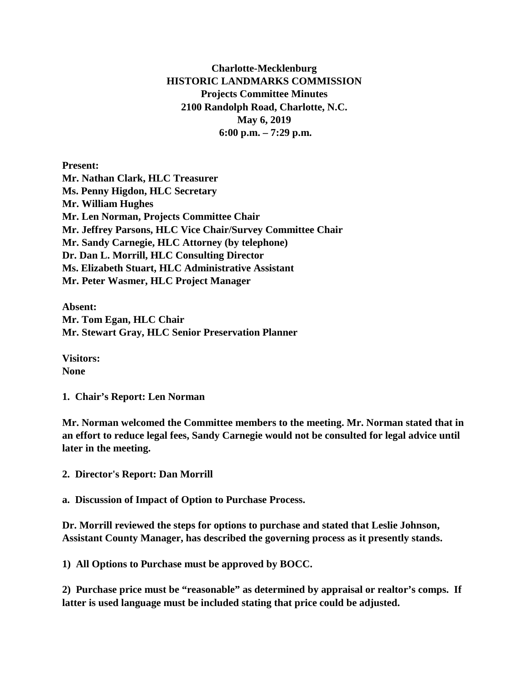## **Charlotte-Mecklenburg HISTORIC LANDMARKS COMMISSION Projects Committee Minutes 2100 Randolph Road, Charlotte, N.C. May 6, 2019 6:00 p.m. – 7:29 p.m.**

**Present: Mr. Nathan Clark, HLC Treasurer Ms. Penny Higdon, HLC Secretary Mr. William Hughes Mr. Len Norman, Projects Committee Chair Mr. Jeffrey Parsons, HLC Vice Chair/Survey Committee Chair Mr. Sandy Carnegie, HLC Attorney (by telephone) Dr. Dan L. Morrill, HLC Consulting Director Ms. Elizabeth Stuart, HLC Administrative Assistant Mr. Peter Wasmer, HLC Project Manager**

**Absent: Mr. Tom Egan, HLC Chair Mr. Stewart Gray, HLC Senior Preservation Planner**

**Visitors: None**

**1. Chair's Report: Len Norman**

**Mr. Norman welcomed the Committee members to the meeting. Mr. Norman stated that in an effort to reduce legal fees, Sandy Carnegie would not be consulted for legal advice until later in the meeting.** 

**2. Director's Report: Dan Morrill**

**a. Discussion of Impact of Option to Purchase Process.** 

**Dr. Morrill reviewed the steps for options to purchase and stated that Leslie Johnson, Assistant County Manager, has described the governing process as it presently stands.** 

**1) All Options to Purchase must be approved by BOCC.**

**2) Purchase price must be "reasonable" as determined by appraisal or realtor's comps. If latter is used language must be included stating that price could be adjusted.**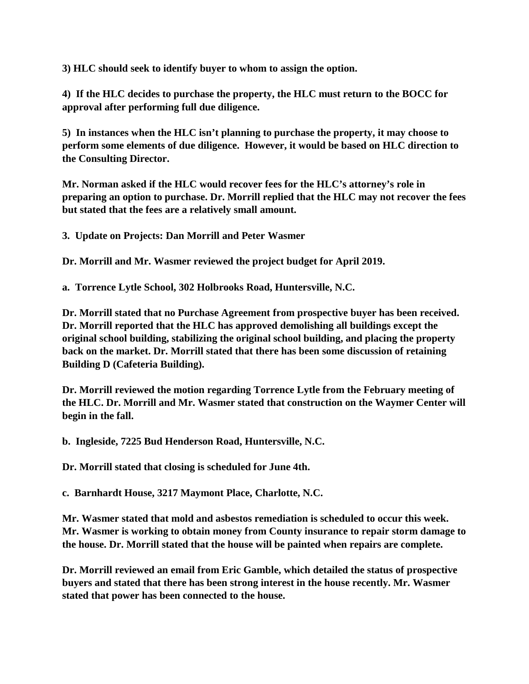**3) HLC should seek to identify buyer to whom to assign the option.**

**4) If the HLC decides to purchase the property, the HLC must return to the BOCC for approval after performing full due diligence.**

**5) In instances when the HLC isn't planning to purchase the property, it may choose to perform some elements of due diligence. However, it would be based on HLC direction to the Consulting Director.**

**Mr. Norman asked if the HLC would recover fees for the HLC's attorney's role in preparing an option to purchase. Dr. Morrill replied that the HLC may not recover the fees but stated that the fees are a relatively small amount.**

**3. Update on Projects: Dan Morrill and Peter Wasmer**

**Dr. Morrill and Mr. Wasmer reviewed the project budget for April 2019.**

**a. Torrence Lytle School, 302 Holbrooks Road, Huntersville, N.C.**

**Dr. Morrill stated that no Purchase Agreement from prospective buyer has been received. Dr. Morrill reported that the HLC has approved demolishing all buildings except the original school building, stabilizing the original school building, and placing the property back on the market. Dr. Morrill stated that there has been some discussion of retaining Building D (Cafeteria Building).**

**Dr. Morrill reviewed the motion regarding Torrence Lytle from the February meeting of the HLC. Dr. Morrill and Mr. Wasmer stated that construction on the Waymer Center will begin in the fall.**

**b. Ingleside, 7225 Bud Henderson Road, Huntersville, N.C.**

**Dr. Morrill stated that closing is scheduled for June 4th.**

**c. Barnhardt House, 3217 Maymont Place, Charlotte, N.C.**

**Mr. Wasmer stated that mold and asbestos remediation is scheduled to occur this week. Mr. Wasmer is working to obtain money from County insurance to repair storm damage to the house. Dr. Morrill stated that the house will be painted when repairs are complete.**

**Dr. Morrill reviewed an email from Eric Gamble, which detailed the status of prospective buyers and stated that there has been strong interest in the house recently. Mr. Wasmer stated that power has been connected to the house.**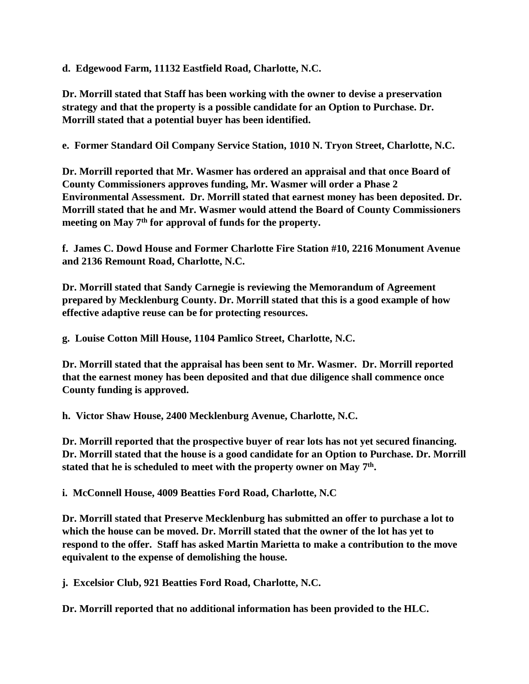**d. Edgewood Farm, 11132 Eastfield Road, Charlotte, N.C.**

**Dr. Morrill stated that Staff has been working with the owner to devise a preservation strategy and that the property is a possible candidate for an Option to Purchase. Dr. Morrill stated that a potential buyer has been identified.** 

**e. Former Standard Oil Company Service Station, 1010 N. Tryon Street, Charlotte, N.C.**

**Dr. Morrill reported that Mr. Wasmer has ordered an appraisal and that once Board of County Commissioners approves funding, Mr. Wasmer will order a Phase 2 Environmental Assessment. Dr. Morrill stated that earnest money has been deposited. Dr. Morrill stated that he and Mr. Wasmer would attend the Board of County Commissioners meeting on May 7th for approval of funds for the property.** 

**f. James C. Dowd House and Former Charlotte Fire Station #10, 2216 Monument Avenue and 2136 Remount Road, Charlotte, N.C.**

**Dr. Morrill stated that Sandy Carnegie is reviewing the Memorandum of Agreement prepared by Mecklenburg County. Dr. Morrill stated that this is a good example of how effective adaptive reuse can be for protecting resources.** 

**g. Louise Cotton Mill House, 1104 Pamlico Street, Charlotte, N.C.**

**Dr. Morrill stated that the appraisal has been sent to Mr. Wasmer. Dr. Morrill reported that the earnest money has been deposited and that due diligence shall commence once County funding is approved.**

**h. Victor Shaw House, 2400 Mecklenburg Avenue, Charlotte, N.C.**

**Dr. Morrill reported that the prospective buyer of rear lots has not yet secured financing. Dr. Morrill stated that the house is a good candidate for an Option to Purchase. Dr. Morrill stated that he is scheduled to meet with the property owner on May 7th.** 

**i. McConnell House, 4009 Beatties Ford Road, Charlotte, N.C**

**Dr. Morrill stated that Preserve Mecklenburg has submitted an offer to purchase a lot to which the house can be moved. Dr. Morrill stated that the owner of the lot has yet to respond to the offer. Staff has asked Martin Marietta to make a contribution to the move equivalent to the expense of demolishing the house.**

**j. Excelsior Club, 921 Beatties Ford Road, Charlotte, N.C.** 

**Dr. Morrill reported that no additional information has been provided to the HLC.**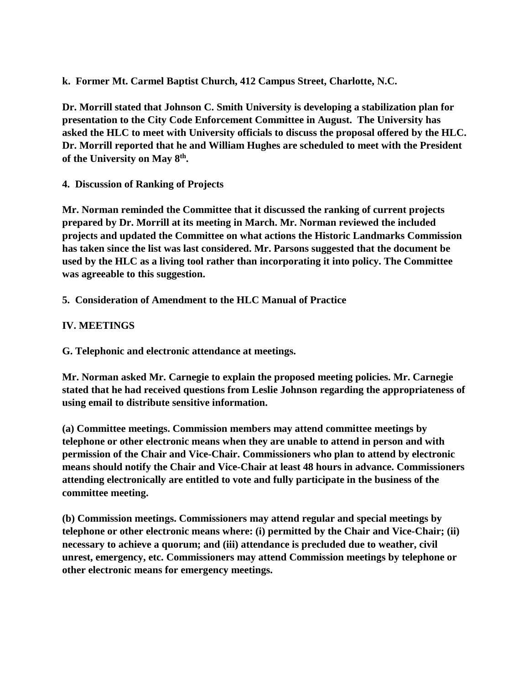**k. Former Mt. Carmel Baptist Church, 412 Campus Street, Charlotte, N.C.** 

**Dr. Morrill stated that Johnson C. Smith University is developing a stabilization plan for presentation to the City Code Enforcement Committee in August. The University has asked the HLC to meet with University officials to discuss the proposal offered by the HLC. Dr. Morrill reported that he and William Hughes are scheduled to meet with the President of the University on May 8th.**

**4. Discussion of Ranking of Projects**

**Mr. Norman reminded the Committee that it discussed the ranking of current projects prepared by Dr. Morrill at its meeting in March. Mr. Norman reviewed the included projects and updated the Committee on what actions the Historic Landmarks Commission has taken since the list was last considered. Mr. Parsons suggested that the document be used by the HLC as a living tool rather than incorporating it into policy. The Committee was agreeable to this suggestion.** 

**5. Consideration of Amendment to the HLC Manual of Practice**

## **IV. MEETINGS**

**G. Telephonic and electronic attendance at meetings.**

**Mr. Norman asked Mr. Carnegie to explain the proposed meeting policies. Mr. Carnegie stated that he had received questions from Leslie Johnson regarding the appropriateness of using email to distribute sensitive information.** 

**(a) Committee meetings. Commission members may attend committee meetings by telephone or other electronic means when they are unable to attend in person and with permission of the Chair and Vice-Chair. Commissioners who plan to attend by electronic means should notify the Chair and Vice-Chair at least 48 hours in advance. Commissioners attending electronically are entitled to vote and fully participate in the business of the committee meeting.**

**(b) Commission meetings. Commissioners may attend regular and special meetings by telephone or other electronic means where: (i) permitted by the Chair and Vice-Chair; (ii) necessary to achieve a quorum; and (iii) attendance is precluded due to weather, civil unrest, emergency, etc. Commissioners may attend Commission meetings by telephone or other electronic means for emergency meetings.**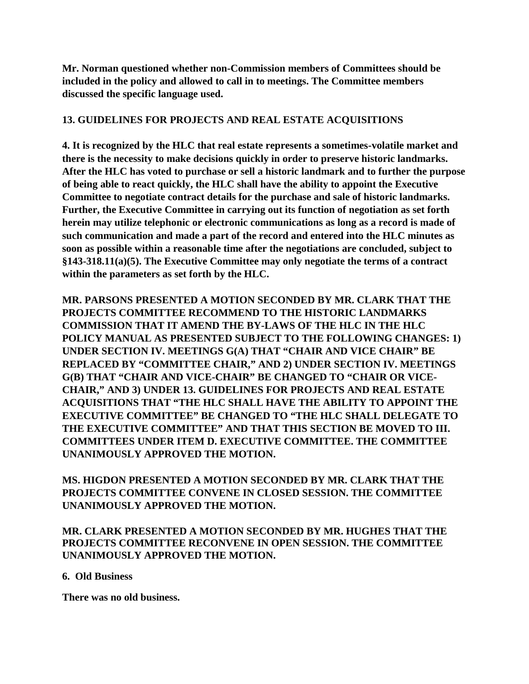**Mr. Norman questioned whether non-Commission members of Committees should be included in the policy and allowed to call in to meetings. The Committee members discussed the specific language used.** 

### **13. GUIDELINES FOR PROJECTS AND REAL ESTATE ACQUISITIONS**

**4. It is recognized by the HLC that real estate represents a sometimes-volatile market and there is the necessity to make decisions quickly in order to preserve historic landmarks. After the HLC has voted to purchase or sell a historic landmark and to further the purpose of being able to react quickly, the HLC shall have the ability to appoint the Executive Committee to negotiate contract details for the purchase and sale of historic landmarks. Further, the Executive Committee in carrying out its function of negotiation as set forth herein may utilize telephonic or electronic communications as long as a record is made of such communication and made a part of the record and entered into the HLC minutes as soon as possible within a reasonable time after the negotiations are concluded, subject to §143-318.11(a)(5). The Executive Committee may only negotiate the terms of a contract within the parameters as set forth by the HLC.**

**MR. PARSONS PRESENTED A MOTION SECONDED BY MR. CLARK THAT THE PROJECTS COMMITTEE RECOMMEND TO THE HISTORIC LANDMARKS COMMISSION THAT IT AMEND THE BY-LAWS OF THE HLC IN THE HLC POLICY MANUAL AS PRESENTED SUBJECT TO THE FOLLOWING CHANGES: 1) UNDER SECTION IV. MEETINGS G(A) THAT "CHAIR AND VICE CHAIR" BE REPLACED BY "COMMITTEE CHAIR," AND 2) UNDER SECTION IV. MEETINGS G(B) THAT "CHAIR AND VICE-CHAIR" BE CHANGED TO "CHAIR OR VICE-CHAIR," AND 3) UNDER 13. GUIDELINES FOR PROJECTS AND REAL ESTATE ACQUISITIONS THAT "THE HLC SHALL HAVE THE ABILITY TO APPOINT THE EXECUTIVE COMMITTEE" BE CHANGED TO "THE HLC SHALL DELEGATE TO THE EXECUTIVE COMMITTEE" AND THAT THIS SECTION BE MOVED TO III. COMMITTEES UNDER ITEM D. EXECUTIVE COMMITTEE. THE COMMITTEE UNANIMOUSLY APPROVED THE MOTION.** 

# **MS. HIGDON PRESENTED A MOTION SECONDED BY MR. CLARK THAT THE PROJECTS COMMITTEE CONVENE IN CLOSED SESSION. THE COMMITTEE UNANIMOUSLY APPROVED THE MOTION.**

#### **MR. CLARK PRESENTED A MOTION SECONDED BY MR. HUGHES THAT THE PROJECTS COMMITTEE RECONVENE IN OPEN SESSION. THE COMMITTEE UNANIMOUSLY APPROVED THE MOTION.**

#### **6. Old Business**

**There was no old business.**